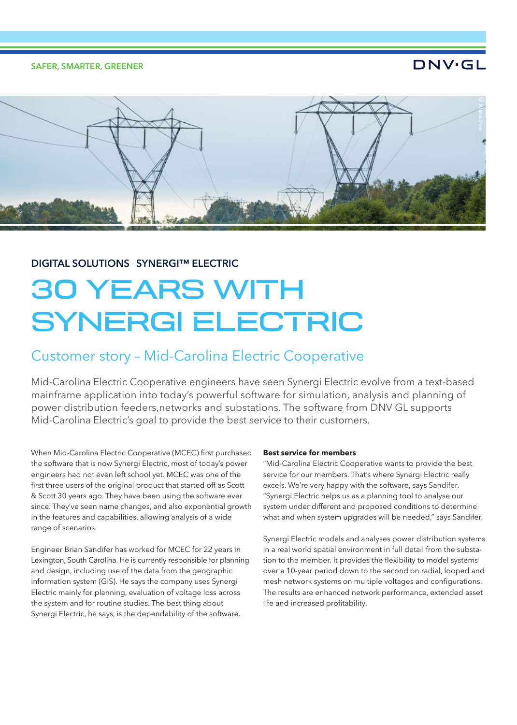SAFER, SMARTER, GREENER

## **DNV·GL**



### DIGITAL SOLUTIONS – SYNERGI™ ELECTRIC

# 30 YEARS WITH SYNERGI ELECTRIC

## Customer story – Mid-Carolina Electric Cooperative

Mid-Carolina Electric Cooperative engineers have seen Synergi Electric evolve from a text-based mainframe application into today's powerful software for simulation, analysis and planning of power distribution feeders,networks and substations. The software from DNV GL supports Mid-Carolina Electric's goal to provide the best service to their customers.

When Mid-Carolina Electric Cooperative (MCEC) first purchased the software that is now Synergi Electric, most of today's power engineers had not even left school yet. MCEC was one of the first three users of the original product that started off as Scott & Scott 30 years ago. They have been using the software ever since. They've seen name changes, and also exponential growth in the features and capabilities, allowing analysis of a wide range of scenarios.

Engineer Brian Sandifer has worked for MCEC for 22 years in Lexington, South Carolina. He is currently responsible for planning and design, including use of the data from the geographic information system (GIS). He says the company uses Synergi Electric mainly for planning, evaluation of voltage loss across the system and for routine studies. The best thing about Synergi Electric, he says, is the dependability of the software.

#### **Best service for members**

"Mid-Carolina Electric Cooperative wants to provide the best service for our members. That's where Synergi Electric really excels. We're very happy with the software, says Sandifer. "Synergi Electric helps us as a planning tool to analyse our system under different and proposed conditions to determine what and when system upgrades will be needed," says Sandifer.

Synergi Electric models and analyses power distribution systems in a real world spatial environment in full detail from the substation to the member. It provides the flexibility to model systems over a 10-year period down to the second on radial, looped and mesh network systems on multiple voltages and configurations. The results are enhanced network performance, extended asset life and increased profitability.